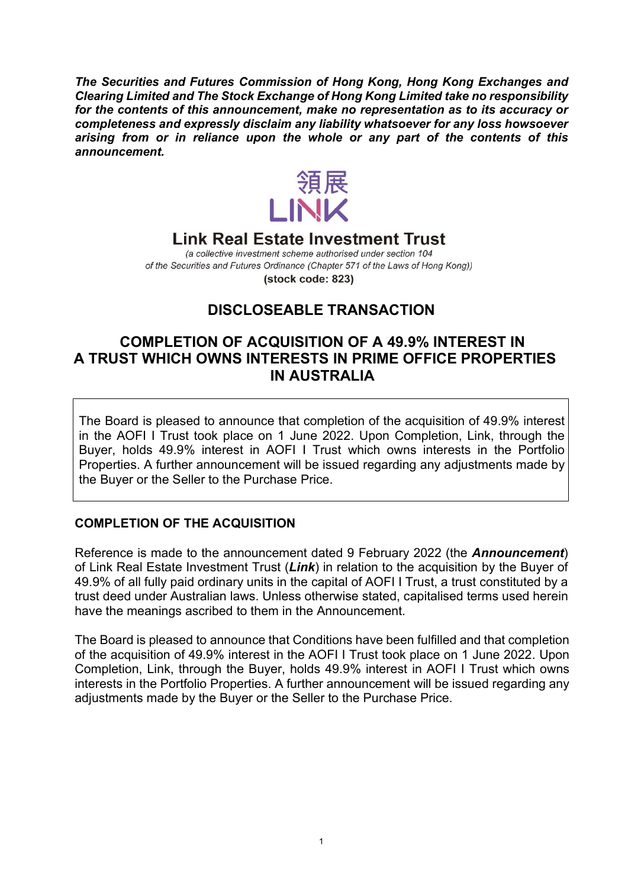The Securities and Futures Commission of Hong Kong, Hong Kong Exchanges and Clearing Limited and The Stock Exchange of Hong Kong Limited take no responsibility for the contents of this announcement, make no representation as to its accuracy or completeness and expressly disclaim any liability whatsoever for any loss howsoever arising from or in reliance upon the whole or any part of the contents of this announcement.



## **Link Real Estate Investment Trust**

(a collective investment scheme authorised under section 104 of the Securities and Futures Ordinance (Chapter 571 of the Laws of Hong Kong)) (stock code: 823)

# DISCLOSEABLE TRANSACTION

## COMPLETION OF ACQUISITION OF A 49.9% INTEREST IN A TRUST WHICH OWNS INTERESTS IN PRIME OFFICE PROPERTIES IN AUSTRALIA

The Board is pleased to announce that completion of the acquisition of 49.9% interest in the AOFI I Trust took place on 1 June 2022. Upon Completion, Link, through the Buyer, holds 49.9% interest in AOFI I Trust which owns interests in the Portfolio Properties. A further announcement will be issued regarding any adjustments made by the Buyer or the Seller to the Purchase Price.

### COMPLETION OF THE ACQUISITION

Reference is made to the announcement dated 9 February 2022 (the Announcement) of Link Real Estate Investment Trust (Link) in relation to the acquisition by the Buyer of 49.9% of all fully paid ordinary units in the capital of AOFI I Trust, a trust constituted by a trust deed under Australian laws. Unless otherwise stated, capitalised terms used herein have the meanings ascribed to them in the Announcement.

The Board is pleased to announce that Conditions have been fulfilled and that completion of the acquisition of 49.9% interest in the AOFI I Trust took place on 1 June 2022. Upon Completion, Link, through the Buyer, holds 49.9% interest in AOFI I Trust which owns interests in the Portfolio Properties. A further announcement will be issued regarding any adjustments made by the Buyer or the Seller to the Purchase Price.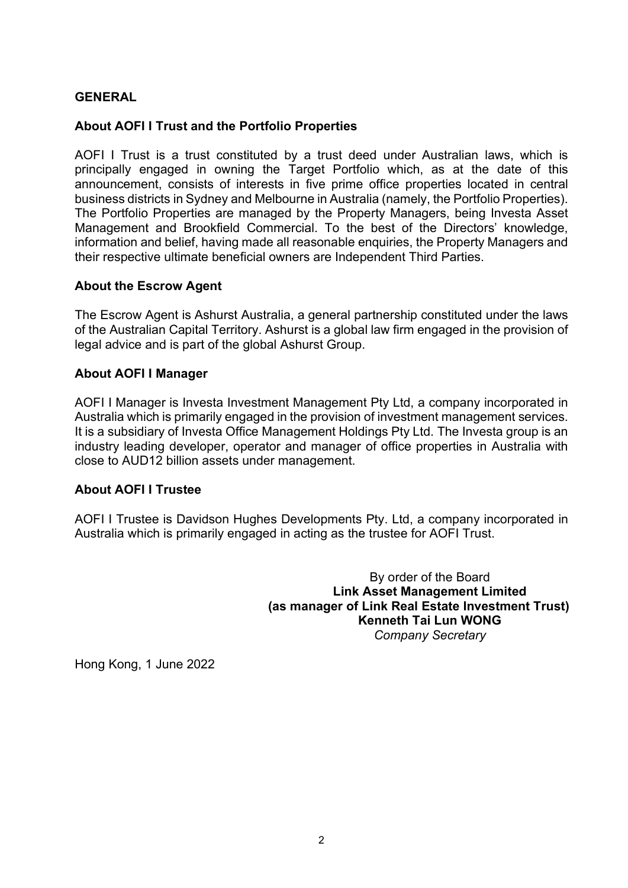## GENERAL

### About AOFI I Trust and the Portfolio Properties

AOFI I Trust is a trust constituted by a trust deed under Australian laws, which is principally engaged in owning the Target Portfolio which, as at the date of this announcement, consists of interests in five prime office properties located in central business districts in Sydney and Melbourne in Australia (namely, the Portfolio Properties). The Portfolio Properties are managed by the Property Managers, being Investa Asset Management and Brookfield Commercial. To the best of the Directors' knowledge, information and belief, having made all reasonable enquiries, the Property Managers and their respective ultimate beneficial owners are Independent Third Parties.

#### About the Escrow Agent

The Escrow Agent is Ashurst Australia, a general partnership constituted under the laws of the Australian Capital Territory. Ashurst is a global law firm engaged in the provision of legal advice and is part of the global Ashurst Group.

#### About AOFI I Manager

AOFI I Manager is Investa Investment Management Pty Ltd, a company incorporated in Australia which is primarily engaged in the provision of investment management services. It is a subsidiary of Investa Office Management Holdings Pty Ltd. The Investa group is an industry leading developer, operator and manager of office properties in Australia with close to AUD12 billion assets under management.

#### About AOFI I Trustee

AOFI I Trustee is Davidson Hughes Developments Pty. Ltd, a company incorporated in Australia which is primarily engaged in acting as the trustee for AOFI Trust.

> By order of the Board Link Asset Management Limited (as manager of Link Real Estate Investment Trust) Kenneth Tai Lun WONG Company Secretary

Hong Kong, 1 June 2022